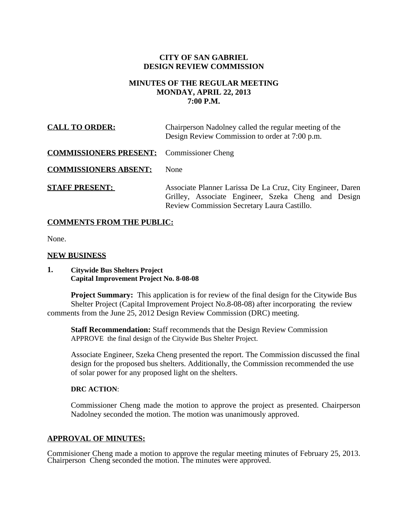## **CITY OF SAN GABRIEL DESIGN REVIEW COMMISSION**

# **MINUTES OF THE REGULAR MEETING MONDAY, APRIL 22, 2013 7:00 P.M.**

| <b>CALL TO ORDER:</b>                            | Chairperson Nadolney called the regular meeting of the<br>Design Review Commission to order at 7:00 p.m.                                                         |
|--------------------------------------------------|------------------------------------------------------------------------------------------------------------------------------------------------------------------|
| <b>COMMISSIONERS PRESENT:</b> Commissioner Cheng |                                                                                                                                                                  |
| <b>COMMISSIONERS ABSENT:</b>                     | <b>None</b>                                                                                                                                                      |
| <b>STAFF PRESENT:</b>                            | Associate Planner Larissa De La Cruz, City Engineer, Daren<br>Grilley, Associate Engineer, Szeka Cheng and Design<br>Review Commission Secretary Laura Castillo. |

## **COMMENTS FROM THE PUBLIC:**

None.

### **NEW BUSINESS**

### **1. Citywide Bus Shelters Project Capital Improvement Project No. 8-08-08**

**Project Summary:** This application is for review of the final design for the Citywide Bus Shelter Project (Capital Improvement Project No.8-08-08) after incorporating the review comments from the June 25, 2012 Design Review Commission (DRC) meeting.

**Staff Recommendation:** Staff recommends that the Design Review Commission APPROVE the final design of the Citywide Bus Shelter Project.

Associate Engineer, Szeka Cheng presented the report. The Commission discussed the final design for the proposed bus shelters. Additionally, the Commission recommended the use of solar power for any proposed light on the shelters.

#### **DRC ACTION**:

Commissioner Cheng made the motion to approve the project as presented. Chairperson Nadolney seconded the motion. The motion was unanimously approved.

#### **APPROVAL OF MINUTES:**

Commisioner Cheng made a motion to approve the regular meeting minutes of February 25, 2013. Chairperson Cheng seconded the motion. The minutes were approved.